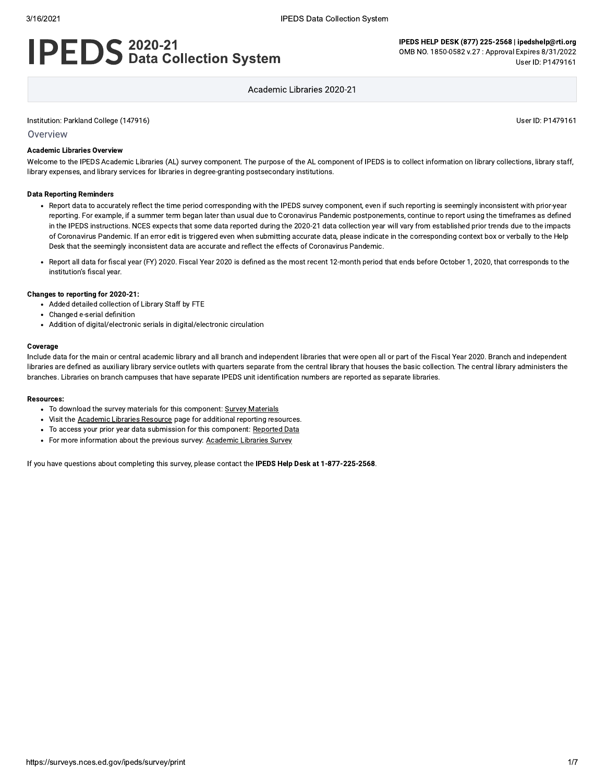# **IPEDS** 2020-21<br>**IPEDS** Data Collection System

IPEDS HELP DESK (877) 225-2568 | ipedshelp@rti.org OMB NO. 1850-0582 v.27: Approval Expires 8/31/2022 User ID: P1479161

Academic Libraries 2020-21

Institution: Parkland College (147916)

Overview

#### **Academic Libraries Overview**

Welcome to the IPEDS Academic Libraries (AL) survey component. The purpose of the AL component of IPEDS is to collect information on library collections, library staff, library expenses, and library services for libraries in degree-granting postsecondary institutions.

#### **Data Reporting Reminders**

- Report data to accurately reflect the time period corresponding with the IPEDS survey component, even if such reporting is seemingly inconsistent with prior-year reporting. For example, if a summer term began later than usual due to Coronavirus Pandemic postponements, continue to report using the timeframes as defined in the IPEDS instructions. NCES expects that some data reported during the 2020-21 data collection year will vary from established prior trends due to the impacts of Coronavirus Pandemic. If an error edit is triggered even when submitting accurate data, please indicate in the corresponding context box or verbally to the Help Desk that the seemingly inconsistent data are accurate and reflect the effects of Coronavirus Pandemic.
- Report all data for fiscal year (FY) 2020. Fiscal Year 2020 is defined as the most recent 12-month period that ends before October 1, 2020, that corresponds to the institution's fiscal year.

#### Changes to reporting for 2020-21:

- Added detailed collection of Library Staff by FTE
- Changed e-serial definition
- Addition of digital/electronic serials in digital/electronic circulation

#### Coverage

Include data for the main or central academic library and all branch and independent libraries that were open all or part of the Fiscal Year 2020. Branch and independent libraries are defined as auxiliary library service outlets with quarters separate from the central library that houses the basic collection. The central library administers the branches. Libraries on branch campuses that have separate IPEDS unit identification numbers are reported as separate libraries.

#### **Resources:**

- To download the survey materials for this component: Survey Materials
- Visit the Academic Libraries Resource page for additional reporting resources.
- To access your prior year data submission for this component: Reported Data
- For more information about the previous survey: Academic Libraries Survey

If you have questions about completing this survey, please contact the IPEDS Help Desk at 1-877-225-2568.

User ID: P1479161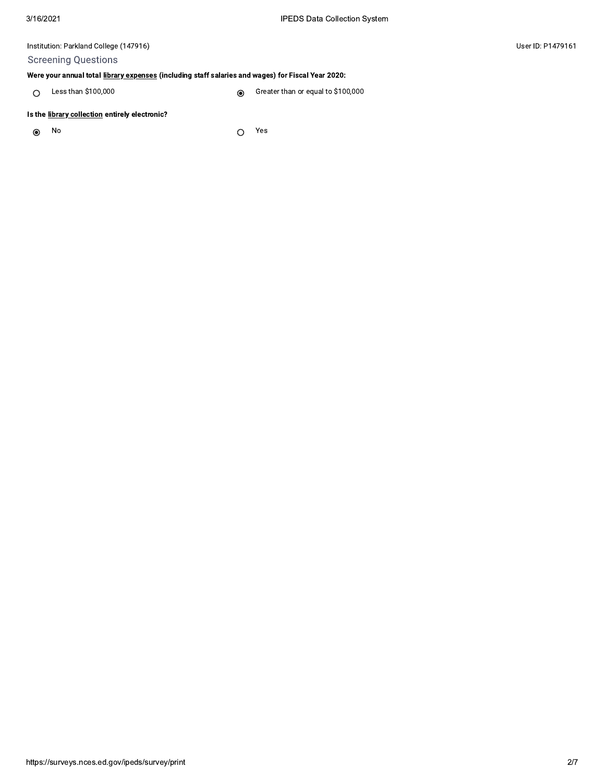# **Screening Questions**

# Were your annual total library expenses (including staff salaries and wages) for Fiscal Year 2020:

 $O$  Less than \$100,000

Greater than or equal to \$100,000  $\circledcirc$ 

## Is the library collection entirely electronic?

No  $\odot$ 

Yes  $\circ$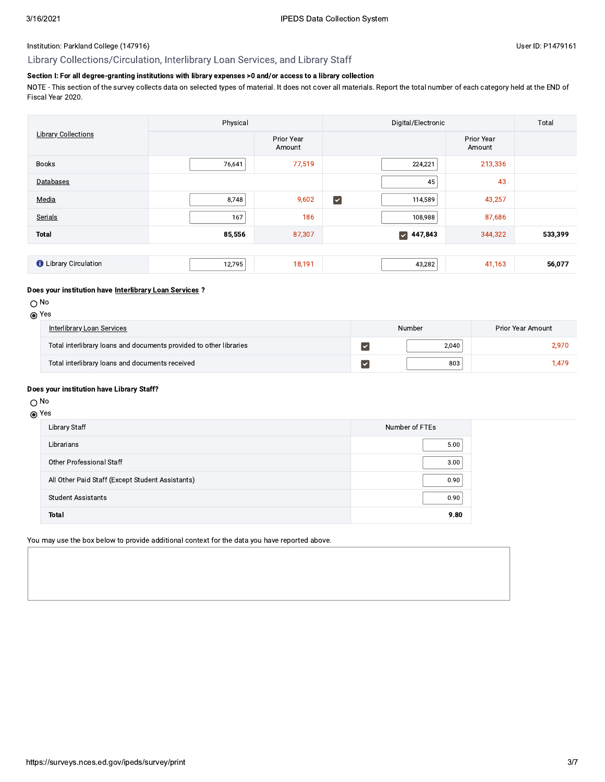## Library Collections/Circulation, Interlibrary Loan Services, and Library Staff

# Section I: For all degree-granting institutions with library expenses >0 and/or access to a library collection

NOTE - This section of the survey collects data on selected types of material. It does not cover all materials. Report the total number of each category held at the END of Fiscal Year 2020.

|                              | Physical |                      | Digital/Electronic                |                      | Total   |
|------------------------------|----------|----------------------|-----------------------------------|----------------------|---------|
| <b>Library Collections</b>   |          | Prior Year<br>Amount |                                   | Prior Year<br>Amount |         |
| <b>Books</b>                 | 76,641   | 77,519               | 224,221                           | 213,336              |         |
| Databases                    |          |                      | 45                                | 43                   |         |
| Media                        | 8,748    | 9,602                | $\blacktriangledown$<br>114,589   | 43,257               |         |
| Serials                      | 167      | 186                  | 108,988                           | 87,686               |         |
| <b>Total</b>                 | 85,556   | 87,307               | 447,843<br>$\vert\downarrow\vert$ | 344,322              | 533,399 |
|                              |          |                      |                                   |                      |         |
| <b>O</b> Library Circulation | 12,795   | 18,191               | 43,282                            | 41,163               | 56,077  |

#### Does your institution have Interlibrary Loan Services ?

#### $\bigcirc$  No

| Interlibrary Loan Services                                         | Number | Prior Year Amount |
|--------------------------------------------------------------------|--------|-------------------|
| Total interlibrary loans and documents provided to other libraries | 2.040  | 2,970             |
| Total interlibrary loans and documents received                    | 803    | <b>.479</b>       |

#### Does your institution have Library Staff?

# $\bigcirc$  No

#### **⊙** Yes

| Library Staff                                    | Number of FTEs |
|--------------------------------------------------|----------------|
| Librarians                                       | 5.00           |
| Other Professional Staff                         | 3.00           |
| All Other Paid Staff (Except Student Assistants) | 0.90           |
| <b>Student Assistants</b>                        | 0.90           |
| <b>Total</b>                                     | 9.80           |

You may use the box below to provide additional context for the data you have reported above.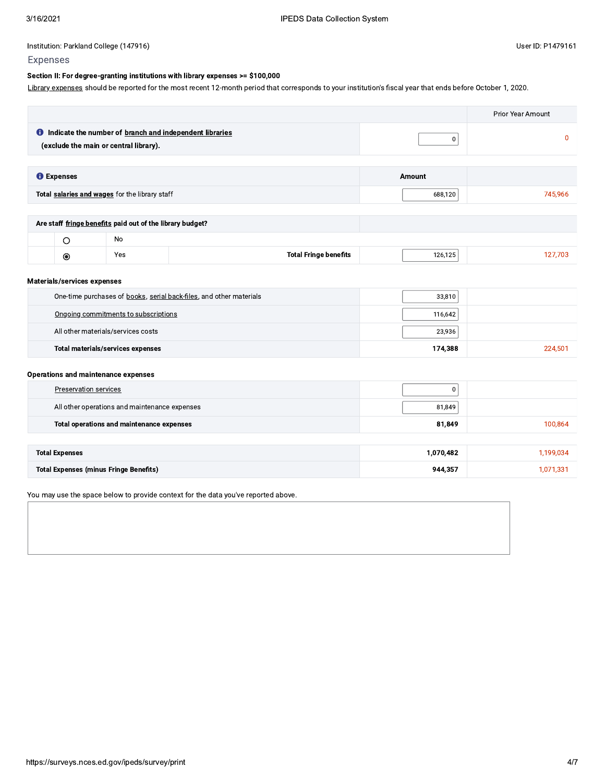## Section II: For degree-granting institutions with library expenses >= \$100,000

Library expenses should be reported for the most recent 12-month period that corresponds to your institution's fiscal year that ends before October 1, 2020.

|                   |                                                                                                            |         | Prior Year Amount |
|-------------------|------------------------------------------------------------------------------------------------------------|---------|-------------------|
|                   | <b>O</b> Indicate the number of branch and independent libraries<br>(exclude the main or central library). | 0       |                   |
| <b>O</b> Expenses |                                                                                                            | Amount  |                   |
|                   | Total salaries and wages for the library staff                                                             | 688,120 | 745,966           |
|                   |                                                                                                            |         |                   |
|                   | Are staff fringe benefits paid out of the library budget?                                                  |         |                   |
|                   | No                                                                                                         |         |                   |

| œ | ∨≏∘<br>102 | eenns | ---<br>,, |  |
|---|------------|-------|-----------|--|
|   |            |       |           |  |

#### Materials/services expenses

| One-time purchases of books, serial back-files, and other materials | 33,810  |         |
|---------------------------------------------------------------------|---------|---------|
| Ongoing commitments to subscriptions                                | 116,642 |         |
| All other materials/services costs                                  | 23,936  |         |
| <b>Total materials/services expenses</b>                            | 174,388 | 224.501 |

## **Operations and maintenance expenses**

| Preservation services                         | 0         |           |
|-----------------------------------------------|-----------|-----------|
| All other operations and maintenance expenses | 81,849    |           |
| Total operations and maintenance expenses     | 81,849    | 100,864   |
|                                               |           |           |
| <b>Total Expenses</b>                         | 1,070,482 | 1,199,034 |
| <b>Total Expenses (minus Fringe Benefits)</b> | 944,357   | 1,071,331 |

You may use the space below to provide context for the data you've reported above.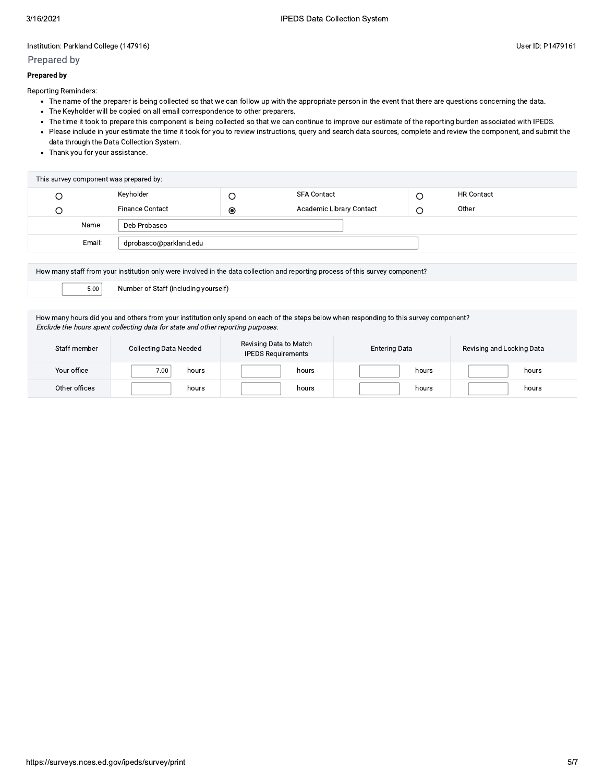## Prepared by

#### **Prepared by**

Reporting Reminders:

- The name of the preparer is being collected so that we can follow up with the appropriate person in the event that there are questions concerning the data.
- The Keyholder will be copied on all email correspondence to other preparers.
- The time it took to prepare this component is being collected so that we can continue to improve our estimate of the reporting burden associated with IPEDS.
- · Please include in your estimate the time it took for you to review instructions, query and search data sources, complete and review the component, and submit the data through the Data Collection System.
- Thank you for your assistance.

| This survey component was prepared by: |                        |           |                          |  |                   |
|----------------------------------------|------------------------|-----------|--------------------------|--|-------------------|
|                                        | Keyholder              |           | <b>SFA Contact</b>       |  | <b>HR Contact</b> |
|                                        | <b>Finance Contact</b> | $\bullet$ | Academic Library Contact |  | Other             |
| Name:                                  | Deb Probasco           |           |                          |  |                   |
| Email:                                 | dprobasco@parkland.edu |           |                          |  |                   |

| How many staff from your institution only were involved in the data collection and reporting process of this survey component? |                                      |  |
|--------------------------------------------------------------------------------------------------------------------------------|--------------------------------------|--|
| 5.00                                                                                                                           | Number of Staff (including yourself) |  |
|                                                                                                                                |                                      |  |

How many hours did you and others from your institution only spend on each of the steps below when responding to this survey component? Exclude the hours spent collecting data for state and other reporting purposes.

| Staff member  | <b>Collecting Data Needed</b> | Revising Data to Match<br><b>IPEDS Requirements</b> | <b>Entering Data</b> | Revising and Locking Data |
|---------------|-------------------------------|-----------------------------------------------------|----------------------|---------------------------|
| Your office   | 7.00 <sub>1</sub><br>hours    | hours                                               | hours                | hours                     |
| Other offices | hours                         | hours                                               | hours                | hours                     |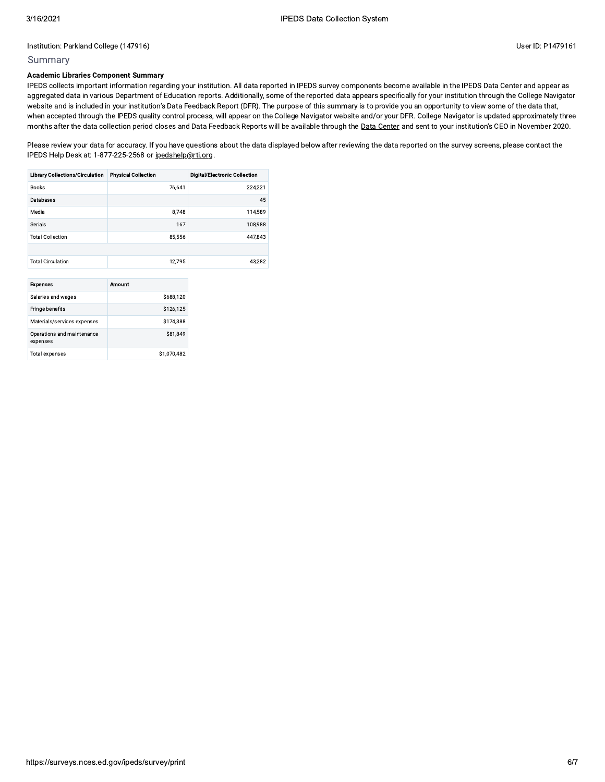## Summary

## **Academic Libraries Component Summary**

IPEDS collects important information regarding your institution. All data reported in IPEDS survey components become available in the IPEDS Data Center and appear as aggregated data in various Department of Education reports. Additionally, some of the reported data appears specifically for your institution through the College Navigator website and is included in your institution's Data Feedback Report (DFR). The purpose of this summary is to provide you an opportunity to view some of the data that, when accepted through the IPEDS quality control process, will appear on the College Navigator website and/or your DFR. College Navigator is updated approximately three months after the data collection period closes and Data Feedback Reports will be available through the Data Center and sent to your institution's CEO in November 2020.

Please review your data for accuracy. If you have questions about the data displayed below after reviewing the data reported on the survey screens, please contact the IPEDS Help Desk at: 1-877-225-2568 or ipedshelp@rti.org.

| <b>Library Collections/Circulation</b> | <b>Physical Collection</b> | <b>Digital/Electronic Collection</b> |
|----------------------------------------|----------------------------|--------------------------------------|
| <b>Books</b>                           | 76.641                     | 224.221                              |
| Databases                              |                            | 45                                   |
| Media                                  | 8,748                      | 114,589                              |
| Serials                                | 167                        | 108.988                              |
| <b>Total Collection</b>                | 85.556                     | 447.843                              |
|                                        |                            |                                      |
| <b>Total Circulation</b>               | 12.795                     | 43.282                               |
|                                        |                            |                                      |

| <b>Expenses</b>                        | Amount      |
|----------------------------------------|-------------|
| Salaries and wages                     | \$688,120   |
| Fringe benefits                        | \$126,125   |
| Materials/services expenses            | \$174,388   |
| Operations and maintenance<br>expenses | \$81.849    |
| <b>Total expenses</b>                  | \$1,070,482 |